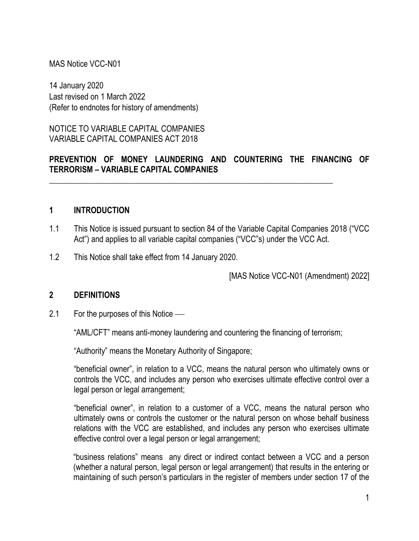#### MAS Notice VCC-N01

14 January 2020 Last revised on 1 March 2022 (Refer to endnotes for history of amendments)

NOTICE TO VARIABLE CAPITAL COMPANIES VARIABLE CAPITAL COMPANIES ACT 2018

#### **PREVENTION OF MONEY LAUNDERING AND COUNTERING THE FINANCING OF TERRORISM – VARIABLE CAPITAL COMPANIES**

\_\_\_\_\_\_\_\_\_\_\_\_\_\_\_\_\_\_\_\_\_\_\_\_\_\_\_\_\_\_\_\_\_\_\_\_\_\_\_\_\_\_\_\_\_\_\_\_\_\_\_\_\_\_\_\_\_\_\_\_\_\_\_\_\_\_\_\_\_\_

#### **1 INTRODUCTION**

- 1.1 This Notice is issued pursuant to section 84 of the Variable Capital Companies 2018 ("VCC Act") and applies to all variable capital companies ("VCC"s) under the VCC Act.
- 1.2 This Notice shall take effect from 14 January 2020.

[MAS Notice VCC-N01 (Amendment) 2022]

#### **2 DEFINITIONS**

2.1 For the purposes of this Notice  $\frac{1}{1}$ 

"AML/CFT" means anti-money laundering and countering the financing of terrorism;

"Authority" means the Monetary Authority of Singapore;

"beneficial owner", in relation to a VCC, means the natural person who ultimately owns or controls the VCC, and includes any person who exercises ultimate effective control over a legal person or legal arrangement;

"beneficial owner", in relation to a customer of a VCC, means the natural person who ultimately owns or controls the customer or the natural person on whose behalf business relations with the VCC are established, and includes any person who exercises ultimate effective control over a legal person or legal arrangement;

"business relations" means any direct or indirect contact between a VCC and a person (whether a natural person, legal person or legal arrangement) that results in the entering or maintaining of such person's particulars in the register of members under section 17 of the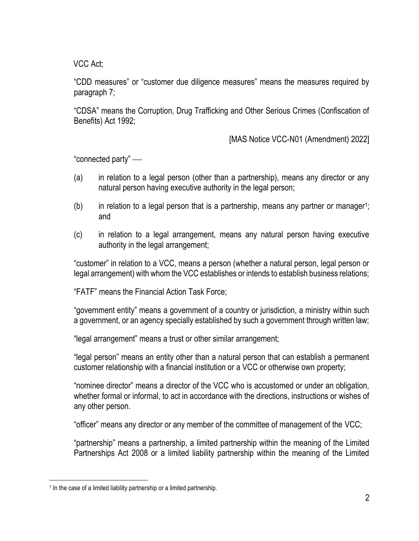VCC Act;

"CDD measures" or "customer due diligence measures" means the measures required by paragraph 7;

"CDSA" means the Corruption, Drug Trafficking and Other Serious Crimes (Confiscation of Benefits) Act 1992;

[MAS Notice VCC-N01 (Amendment) 2022]

"connected party" —

- (a) in relation to a legal person (other than a partnership), means any director or any natural person having executive authority in the legal person;
- $(b)$  in relation to a legal person that is a partnership, means any partner or manager<sup>1</sup>; and
- (c) in relation to a legal arrangement, means any natural person having executive authority in the legal arrangement;

"customer" in relation to a VCC, means a person (whether a natural person, legal person or legal arrangement) with whom the VCC establishes or intends to establish business relations;

"FATF" means the Financial Action Task Force;

"government entity" means a government of a country or jurisdiction, a ministry within such a government, or an agency specially established by such a government through written law;

"legal arrangement" means a trust or other similar arrangement;

"legal person" means an entity other than a natural person that can establish a permanent customer relationship with a financial institution or a VCC or otherwise own property;

"nominee director" means a director of the VCC who is accustomed or under an obligation, whether formal or informal, to act in accordance with the directions, instructions or wishes of any other person.

"officer" means any director or any member of the committee of management of the VCC;

"partnership" means a partnership, a limited partnership within the meaning of the Limited Partnerships Act 2008 or a limited liability partnership within the meaning of the Limited

<sup>&</sup>lt;sup>1</sup> In the case of a limited liability partnership or a limited partnership.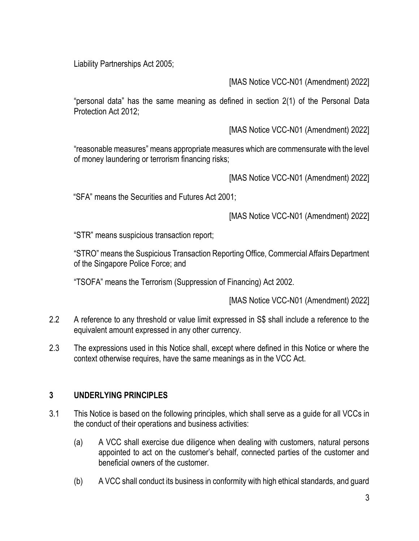Liability Partnerships Act 2005;

[MAS Notice VCC-N01 (Amendment) 2022]

"personal data" has the same meaning as defined in section 2(1) of the Personal Data Protection Act 2012;

[MAS Notice VCC-N01 (Amendment) 2022]

"reasonable measures" means appropriate measures which are commensurate with the level of money laundering or terrorism financing risks;

[MAS Notice VCC-N01 (Amendment) 2022]

"SFA" means the Securities and Futures Act 2001;

[MAS Notice VCC-N01 (Amendment) 2022]

"STR" means suspicious transaction report;

"STRO" means the Suspicious Transaction Reporting Office, Commercial Affairs Department of the Singapore Police Force; and

"TSOFA" means the Terrorism (Suppression of Financing) Act 2002.

[MAS Notice VCC-N01 (Amendment) 2022]

- 2.2 A reference to any threshold or value limit expressed in S\$ shall include a reference to the equivalent amount expressed in any other currency.
- 2.3 The expressions used in this Notice shall, except where defined in this Notice or where the context otherwise requires, have the same meanings as in the VCC Act.

### **3 UNDERLYING PRINCIPLES**

- 3.1 This Notice is based on the following principles, which shall serve as a guide for all VCCs in the conduct of their operations and business activities:
	- (a) A VCC shall exercise due diligence when dealing with customers, natural persons appointed to act on the customer's behalf, connected parties of the customer and beneficial owners of the customer.
	- (b) A VCC shall conduct its business in conformity with high ethical standards, and guard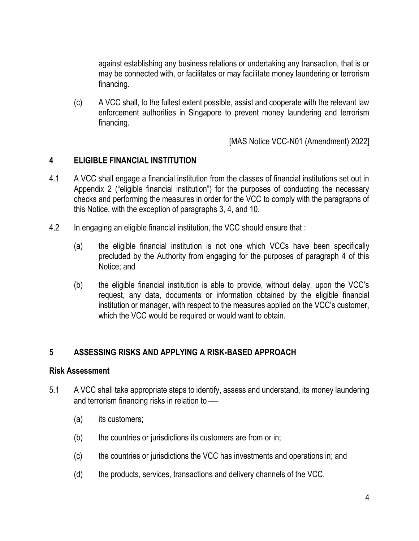against establishing any business relations or undertaking any transaction, that is or may be connected with, or facilitates or may facilitate money laundering or terrorism financing.

(c) A VCC shall, to the fullest extent possible, assist and cooperate with the relevant law enforcement authorities in Singapore to prevent money laundering and terrorism financing.

[MAS Notice VCC-N01 (Amendment) 2022]

#### **4 ELIGIBLE FINANCIAL INSTITUTION**

- 4.1 A VCC shall engage a financial institution from the classes of financial institutions set out in Appendix 2 ("eligible financial institution") for the purposes of conducting the necessary checks and performing the measures in order for the VCC to comply with the paragraphs of this Notice, with the exception of paragraphs 3, 4, and 10.
- 4.2 In engaging an eligible financial institution, the VCC should ensure that :
	- (a) the eligible financial institution is not one which VCCs have been specifically precluded by the Authority from engaging for the purposes of paragraph 4 of this Notice; and
	- (b) the eligible financial institution is able to provide, without delay, upon the VCC's request, any data, documents or information obtained by the eligible financial institution or manager, with respect to the measures applied on the VCC's customer, which the VCC would be required or would want to obtain.

### **5 ASSESSING RISKS AND APPLYING A RISK-BASED APPROACH**

#### **Risk Assessment**

- 5.1 A VCC shall take appropriate steps to identify, assess and understand, its money laundering and terrorism financing risks in relation to  $-$ 
	- (a) its customers;
	- (b) the countries or jurisdictions its customers are from or in;
	- (c) the countries or jurisdictions the VCC has investments and operations in; and
	- (d) the products, services, transactions and delivery channels of the VCC.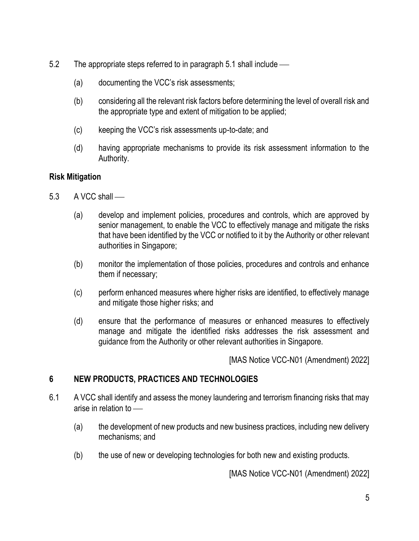- 5.2 The appropriate steps referred to in paragraph 5.1 shall include
	- (a) documenting the VCC's risk assessments;
	- (b) considering all the relevant risk factors before determining the level of overall risk and the appropriate type and extent of mitigation to be applied;
	- (c) keeping the VCC's risk assessments up-to-date; and
	- (d) having appropriate mechanisms to provide its risk assessment information to the Authority.

### **Risk Mitigation**

- $5.3$  A VCC shall
	- (a) develop and implement policies, procedures and controls, which are approved by senior management, to enable the VCC to effectively manage and mitigate the risks that have been identified by the VCC or notified to it by the Authority or other relevant authorities in Singapore;
	- (b) monitor the implementation of those policies, procedures and controls and enhance them if necessary;
	- (c) perform enhanced measures where higher risks are identified, to effectively manage and mitigate those higher risks; and
	- (d) ensure that the performance of measures or enhanced measures to effectively manage and mitigate the identified risks addresses the risk assessment and guidance from the Authority or other relevant authorities in Singapore.

[MAS Notice VCC-N01 (Amendment) 2022]

### **6 NEW PRODUCTS, PRACTICES AND TECHNOLOGIES**

- 6.1 A VCC shall identify and assess the money laundering and terrorism financing risks that may arise in relation to  $-$ 
	- (a) the development of new products and new business practices, including new delivery mechanisms; and
	- (b) the use of new or developing technologies for both new and existing products.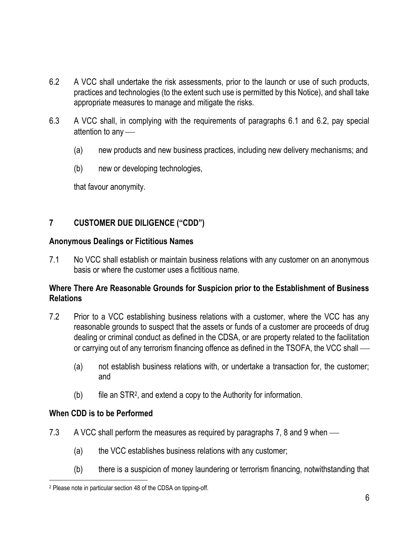- 6.2 A VCC shall undertake the risk assessments, prior to the launch or use of such products, practices and technologies (to the extent such use is permitted by this Notice), and shall take appropriate measures to manage and mitigate the risks.
- 6.3 A VCC shall, in complying with the requirements of paragraphs 6.1 and 6.2, pay special attention to any  $-$ 
	- (a) new products and new business practices, including new delivery mechanisms; and
	- (b) new or developing technologies,

that favour anonymity.

# **7 CUSTOMER DUE DILIGENCE ("CDD")**

#### **Anonymous Dealings or Fictitious Names**

7.1 No VCC shall establish or maintain business relations with any customer on an anonymous basis or where the customer uses a fictitious name.

#### **Where There Are Reasonable Grounds for Suspicion prior to the Establishment of Business Relations**

- 7.2 Prior to a VCC establishing business relations with a customer, where the VCC has any reasonable grounds to suspect that the assets or funds of a customer are proceeds of drug dealing or criminal conduct as defined in the CDSA, or are property related to the facilitation or carrying out of any terrorism financing offence as defined in the TSOFA, the VCC shall —
	- (a) not establish business relations with, or undertake a transaction for, the customer; and
	- $(b)$  file an STR<sup>2</sup>, and extend a copy to the Authority for information.

### **When CDD is to be Performed**

- 7.3 A VCC shall perform the measures as required by paragraphs 7, 8 and 9 when  $-$ 
	- (a) the VCC establishes business relations with any customer;
	- (b) there is a suspicion of money laundering or terrorism financing, notwithstanding that

<sup>2</sup> Please note in particular section 48 of the CDSA on tipping-off.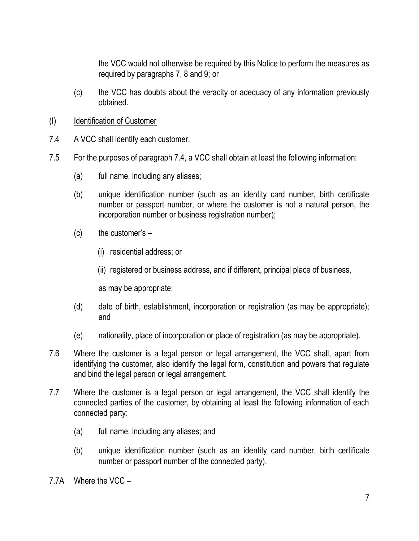the VCC would not otherwise be required by this Notice to perform the measures as required by paragraphs 7, 8 and 9; or

- (c) the VCC has doubts about the veracity or adequacy of any information previously obtained.
- (I) Identification of Customer
- 7.4 A VCC shall identify each customer.
- 7.5 For the purposes of paragraph 7.4, a VCC shall obtain at least the following information:
	- (a) full name, including any aliases;
	- (b) unique identification number (such as an identity card number, birth certificate number or passport number, or where the customer is not a natural person, the incorporation number or business registration number);
	- $(c)$  the customer's  $-$ 
		- (i) residential address; or
		- (ii) registered or business address, and if different, principal place of business,

as may be appropriate;

- (d) date of birth, establishment, incorporation or registration (as may be appropriate); and
- (e) nationality, place of incorporation or place of registration (as may be appropriate).
- 7.6 Where the customer is a legal person or legal arrangement, the VCC shall, apart from identifying the customer, also identify the legal form, constitution and powers that regulate and bind the legal person or legal arrangement.
- 7.7 Where the customer is a legal person or legal arrangement, the VCC shall identify the connected parties of the customer, by obtaining at least the following information of each connected party:
	- (a) full name, including any aliases; and
	- (b) unique identification number (such as an identity card number, birth certificate number or passport number of the connected party).
- 7.7A Where the VCC –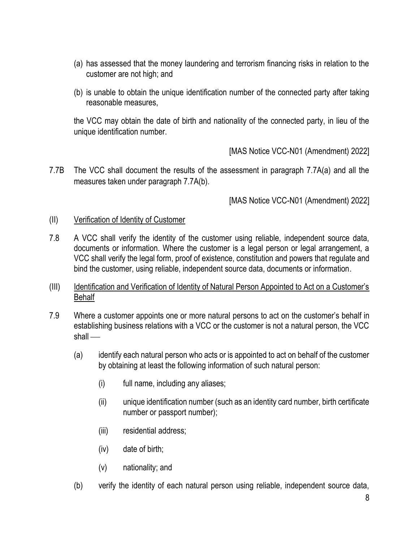- (a) has assessed that the money laundering and terrorism financing risks in relation to the customer are not high; and
- (b) is unable to obtain the unique identification number of the connected party after taking reasonable measures,

the VCC may obtain the date of birth and nationality of the connected party, in lieu of the unique identification number.

[MAS Notice VCC-N01 (Amendment) 2022]

7.7B The VCC shall document the results of the assessment in paragraph 7.7A(a) and all the measures taken under paragraph 7.7A(b).

- (II) Verification of Identity of Customer
- 7.8 A VCC shall verify the identity of the customer using reliable, independent source data, documents or information. Where the customer is a legal person or legal arrangement, a VCC shall verify the legal form, proof of existence, constitution and powers that regulate and bind the customer, using reliable, independent source data, documents or information.
- (III) Identification and Verification of Identity of Natural Person Appointed to Act on a Customer's **Behalf**
- 7.9 Where a customer appoints one or more natural persons to act on the customer's behalf in establishing business relations with a VCC or the customer is not a natural person, the VCC  $shall$   $-$ 
	- (a) identify each natural person who acts or is appointed to act on behalf of the customer by obtaining at least the following information of such natural person:
		- (i) full name, including any aliases;
		- (ii) unique identification number (such as an identity card number, birth certificate number or passport number);
		- (iii) residential address;
		- (iv) date of birth;
		- (v) nationality; and
	- (b) verify the identity of each natural person using reliable, independent source data,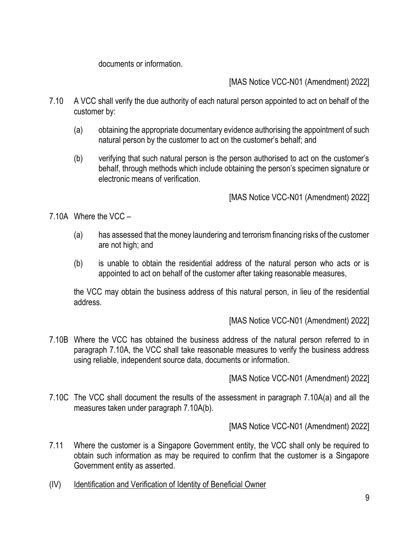documents or information.

[MAS Notice VCC-N01 (Amendment) 2022]

- 7.10 A VCC shall verify the due authority of each natural person appointed to act on behalf of the customer by:
	- (a) obtaining the appropriate documentary evidence authorising the appointment of such natural person by the customer to act on the customer's behalf; and
	- (b) verifying that such natural person is the person authorised to act on the customer's behalf, through methods which include obtaining the person's specimen signature or electronic means of verification.

[MAS Notice VCC-N01 (Amendment) 2022]

7.10A Where the VCC –

- (a) has assessed that the money laundering and terrorism financing risks of the customer are not high; and
- (b) is unable to obtain the residential address of the natural person who acts or is appointed to act on behalf of the customer after taking reasonable measures,

the VCC may obtain the business address of this natural person, in lieu of the residential address.

[MAS Notice VCC-N01 (Amendment) 2022]

7.10B Where the VCC has obtained the business address of the natural person referred to in paragraph 7.10A, the VCC shall take reasonable measures to verify the business address using reliable, independent source data, documents or information.

[MAS Notice VCC-N01 (Amendment) 2022]

7.10C The VCC shall document the results of the assessment in paragraph 7.10A(a) and all the measures taken under paragraph 7.10A(b).

- 7.11 Where the customer is a Singapore Government entity, the VCC shall only be required to obtain such information as may be required to confirm that the customer is a Singapore Government entity as asserted.
- (IV) Identification and Verification of Identity of Beneficial Owner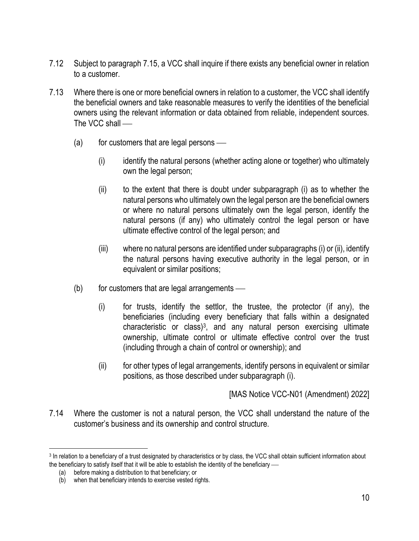- 7.12 Subject to paragraph 7.15, a VCC shall inquire if there exists any beneficial owner in relation to a customer.
- 7.13 Where there is one or more beneficial owners in relation to a customer, the VCC shall identify the beneficial owners and take reasonable measures to verify the identities of the beneficial owners using the relevant information or data obtained from reliable, independent sources. The VCC shall —
	- $(a)$  for customers that are legal persons
		- (i) identify the natural persons (whether acting alone or together) who ultimately own the legal person;
		- (ii) to the extent that there is doubt under subparagraph (i) as to whether the natural persons who ultimately own the legal person are the beneficial owners or where no natural persons ultimately own the legal person, identify the natural persons (if any) who ultimately control the legal person or have ultimate effective control of the legal person; and
		- (iii) where no natural persons are identified under subparagraphs (i) or (ii), identify the natural persons having executive authority in the legal person, or in equivalent or similar positions;
	- $(b)$  for customers that are legal arrangements
		- (i) for trusts, identify the settlor, the trustee, the protector (if any), the beneficiaries (including every beneficiary that falls within a designated characteristic or class)<sup>3</sup>, and any natural person exercising ultimate ownership, ultimate control or ultimate effective control over the trust (including through a chain of control or ownership); and
		- (ii) for other types of legal arrangements, identify persons in equivalent or similar positions, as those described under subparagraph (i).

[MAS Notice VCC-N01 (Amendment) 2022]

7.14 Where the customer is not a natural person, the VCC shall understand the nature of the customer's business and its ownership and control structure.

<sup>&</sup>lt;sup>3</sup> In relation to a beneficiary of a trust designated by characteristics or by class, the VCC shall obtain sufficient information about the beneficiary to satisfy itself that it will be able to establish the identity of the beneficiary —

<sup>(</sup>a) before making a distribution to that beneficiary; or

<sup>(</sup>b) when that beneficiary intends to exercise vested rights.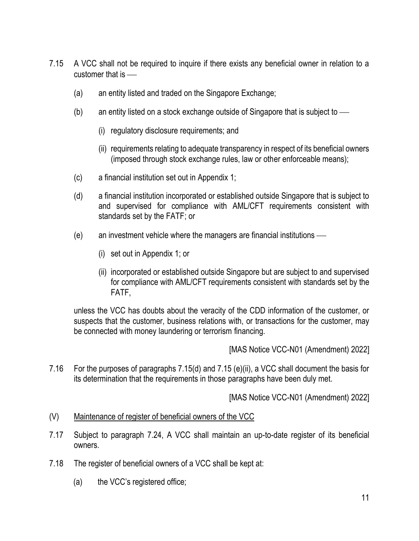- 7.15 A VCC shall not be required to inquire if there exists any beneficial owner in relation to a customer that is  $\equiv$ 
	- (a) an entity listed and traded on the Singapore Exchange;
	- (b) an entity listed on a stock exchange outside of Singapore that is subject to  $\equiv$ 
		- (i) regulatory disclosure requirements; and
		- (ii) requirements relating to adequate transparency in respect of its beneficial owners (imposed through stock exchange rules, law or other enforceable means);
	- (c) a financial institution set out in Appendix 1;
	- (d) a financial institution incorporated or established outside Singapore that is subject to and supervised for compliance with AML/CFT requirements consistent with standards set by the FATF; or
	- $(e)$  an investment vehicle where the managers are financial institutions  $-$ 
		- (i) set out in Appendix 1; or
		- (ii) incorporated or established outside Singapore but are subject to and supervised for compliance with AML/CFT requirements consistent with standards set by the FATF,

unless the VCC has doubts about the veracity of the CDD information of the customer, or suspects that the customer, business relations with, or transactions for the customer, may be connected with money laundering or terrorism financing.

[MAS Notice VCC-N01 (Amendment) 2022]

7.16 For the purposes of paragraphs 7.15(d) and 7.15 (e)(ii), a VCC shall document the basis for its determination that the requirements in those paragraphs have been duly met.

- (V) Maintenance of register of beneficial owners of the VCC
- 7.17 Subject to paragraph 7.24, A VCC shall maintain an up-to-date register of its beneficial owners.
- 7.18 The register of beneficial owners of a VCC shall be kept at:
	- (a) the VCC's registered office;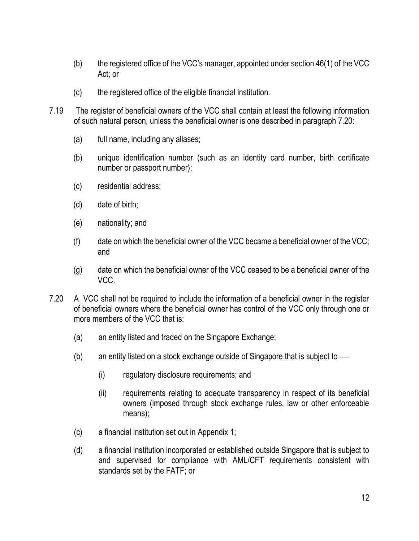- (b) the registered office of the VCC's manager, appointed under section 46(1) of the VCC Act; or
- (c) the registered office of the eligible financial institution.
- 7.19 The register of beneficial owners of the VCC shall contain at least the following information of such natural person, unless the beneficial owner is one described in paragraph 7.20:
	- (a) full name, including any aliases;
	- (b) unique identification number (such as an identity card number, birth certificate number or passport number);
	- (c) residential address;
	- (d) date of birth;
	- (e) nationality; and
	- (f) date on which the beneficial owner of the VCC became a beneficial owner of the VCC; and
	- (g) date on which the beneficial owner of the VCC ceased to be a beneficial owner of the VCC.
- 7.20 A VCC shall not be required to include the information of a beneficial owner in the register of beneficial owners where the beneficial owner has control of the VCC only through one or more members of the VCC that is:
	- (a) an entity listed and traded on the Singapore Exchange;
	- (b) an entity listed on a stock exchange outside of Singapore that is subject to  $\frac{1}{10}$ 
		- (i) regulatory disclosure requirements; and
		- (ii) requirements relating to adequate transparency in respect of its beneficial owners (imposed through stock exchange rules, law or other enforceable means);
	- (c) a financial institution set out in Appendix 1;
	- (d) a financial institution incorporated or established outside Singapore that is subject to and supervised for compliance with AML/CFT requirements consistent with standards set by the FATF; or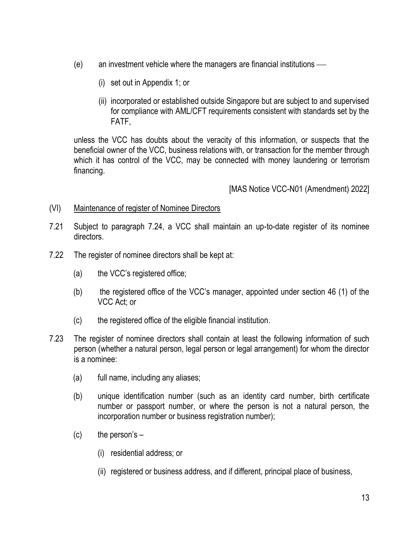- $(e)$  an investment vehicle where the managers are financial institutions  $-$ 
	- (i) set out in Appendix 1; or
	- (ii) incorporated or established outside Singapore but are subject to and supervised for compliance with AML/CFT requirements consistent with standards set by the FATF,

unless the VCC has doubts about the veracity of this information, or suspects that the beneficial owner of the VCC, business relations with, or transaction for the member through which it has control of the VCC, may be connected with money laundering or terrorism financing.

- (VI) Maintenance of register of Nominee Directors
- 7.21 Subject to paragraph 7.24, a VCC shall maintain an up-to-date register of its nominee directors.
- 7.22 The register of nominee directors shall be kept at:
	- (a) the VCC's registered office;
	- (b) the registered office of the VCC's manager, appointed under section 46 (1) of the VCC Act; or
	- (c) the registered office of the eligible financial institution.
- 7.23 The register of nominee directors shall contain at least the following information of such person (whether a natural person, legal person or legal arrangement) for whom the director is a nominee:
	- (a) full name, including any aliases;
	- (b) unique identification number (such as an identity card number, birth certificate number or passport number, or where the person is not a natural person, the incorporation number or business registration number);
	- $(c)$  the person's  $-$ 
		- (i) residential address; or
		- (ii) registered or business address, and if different, principal place of business,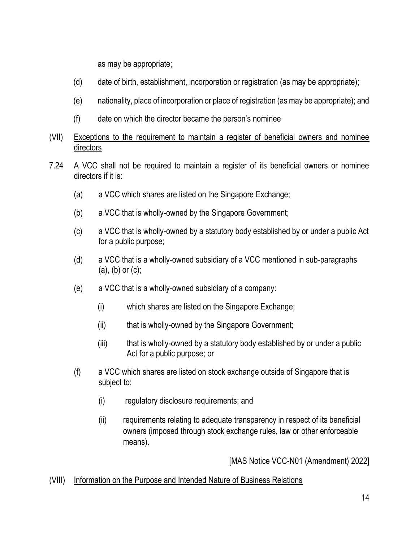as may be appropriate;

- (d) date of birth, establishment, incorporation or registration (as may be appropriate);
- (e) nationality, place of incorporation or place of registration (as may be appropriate); and
- (f) date on which the director became the person's nominee
- (VII) Exceptions to the requirement to maintain a register of beneficial owners and nominee directors
- 7.24 A VCC shall not be required to maintain a register of its beneficial owners or nominee directors if it is:
	- (a) a VCC which shares are listed on the Singapore Exchange;
	- (b) a VCC that is wholly-owned by the Singapore Government;
	- (c) a VCC that is wholly-owned by a statutory body established by or under a public Act for a public purpose;
	- (d) a VCC that is a wholly-owned subsidiary of a VCC mentioned in sub-paragraphs (a), (b) or (c);
	- (e) a VCC that is a wholly-owned subsidiary of a company:
		- (i) which shares are listed on the Singapore Exchange;
		- (ii) that is wholly-owned by the Singapore Government;
		- (iii) that is wholly-owned by a statutory body established by or under a public Act for a public purpose; or
	- (f) a VCC which shares are listed on stock exchange outside of Singapore that is subject to:
		- (i) regulatory disclosure requirements; and
		- (ii) requirements relating to adequate transparency in respect of its beneficial owners (imposed through stock exchange rules, law or other enforceable means).

[MAS Notice VCC-N01 (Amendment) 2022]

## (VIII) Information on the Purpose and Intended Nature of Business Relations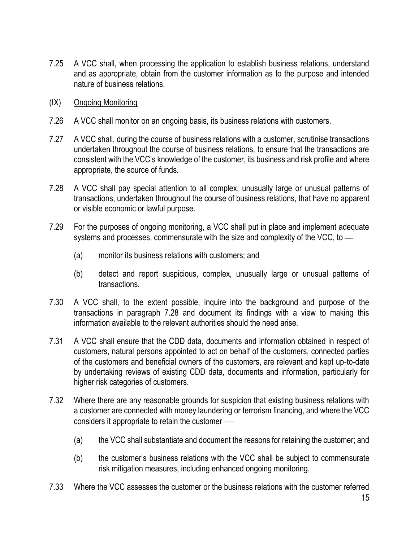- 7.25 A VCC shall, when processing the application to establish business relations, understand and as appropriate, obtain from the customer information as to the purpose and intended nature of business relations.
- (IX) Ongoing Monitoring
- 7.26 A VCC shall monitor on an ongoing basis, its business relations with customers.
- 7.27 A VCC shall, during the course of business relations with a customer, scrutinise transactions undertaken throughout the course of business relations, to ensure that the transactions are consistent with the VCC's knowledge of the customer, its business and risk profile and where appropriate, the source of funds.
- 7.28 A VCC shall pay special attention to all complex, unusually large or unusual patterns of transactions, undertaken throughout the course of business relations, that have no apparent or visible economic or lawful purpose.
- 7.29 For the purposes of ongoing monitoring, a VCC shall put in place and implement adequate systems and processes, commensurate with the size and complexity of the VCC, to  $-$ 
	- (a) monitor its business relations with customers; and
	- (b) detect and report suspicious, complex, unusually large or unusual patterns of transactions.
- 7.30 A VCC shall, to the extent possible, inquire into the background and purpose of the transactions in paragraph 7.28 and document its findings with a view to making this information available to the relevant authorities should the need arise.
- 7.31 A VCC shall ensure that the CDD data, documents and information obtained in respect of customers, natural persons appointed to act on behalf of the customers, connected parties of the customers and beneficial owners of the customers, are relevant and kept up-to-date by undertaking reviews of existing CDD data, documents and information, particularly for higher risk categories of customers.
- 7.32 Where there are any reasonable grounds for suspicion that existing business relations with a customer are connected with money laundering or terrorism financing, and where the VCC considers it appropriate to retain the customer —
	- (a) the VCC shall substantiate and document the reasons for retaining the customer; and
	- (b) the customer's business relations with the VCC shall be subject to commensurate risk mitigation measures, including enhanced ongoing monitoring.
- 7.33 Where the VCC assesses the customer or the business relations with the customer referred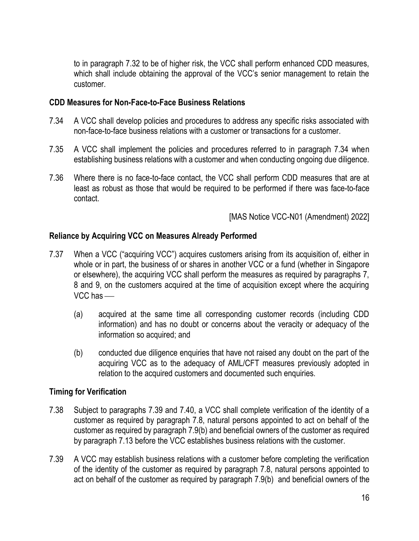to in paragraph 7.32 to be of higher risk, the VCC shall perform enhanced CDD measures, which shall include obtaining the approval of the VCC's senior management to retain the customer.

#### **CDD Measures for Non-Face-to-Face Business Relations**

- 7.34 A VCC shall develop policies and procedures to address any specific risks associated with non-face-to-face business relations with a customer or transactions for a customer.
- 7.35 A VCC shall implement the policies and procedures referred to in paragraph 7.34 when establishing business relations with a customer and when conducting ongoing due diligence.
- 7.36 Where there is no face-to-face contact, the VCC shall perform CDD measures that are at least as robust as those that would be required to be performed if there was face-to-face contact.

[MAS Notice VCC-N01 (Amendment) 2022]

### **Reliance by Acquiring VCC on Measures Already Performed**

- 7.37 When a VCC ("acquiring VCC") acquires customers arising from its acquisition of, either in whole or in part, the business of or shares in another VCC or a fund (whether in Singapore or elsewhere), the acquiring VCC shall perform the measures as required by paragraphs 7, 8 and 9, on the customers acquired at the time of acquisition except where the acquiring  $VCC$  has  $-$ 
	- (a) acquired at the same time all corresponding customer records (including CDD information) and has no doubt or concerns about the veracity or adequacy of the information so acquired; and
	- (b) conducted due diligence enquiries that have not raised any doubt on the part of the acquiring VCC as to the adequacy of AML/CFT measures previously adopted in relation to the acquired customers and documented such enquiries.

#### **Timing for Verification**

- 7.38 Subject to paragraphs 7.39 and 7.40, a VCC shall complete verification of the identity of a customer as required by paragraph 7.8, natural persons appointed to act on behalf of the customer as required by paragraph 7.9(b) and beneficial owners of the customer as required by paragraph 7.13 before the VCC establishes business relations with the customer.
- 7.39 A VCC may establish business relations with a customer before completing the verification of the identity of the customer as required by paragraph 7.8, natural persons appointed to act on behalf of the customer as required by paragraph 7.9(b) and beneficial owners of the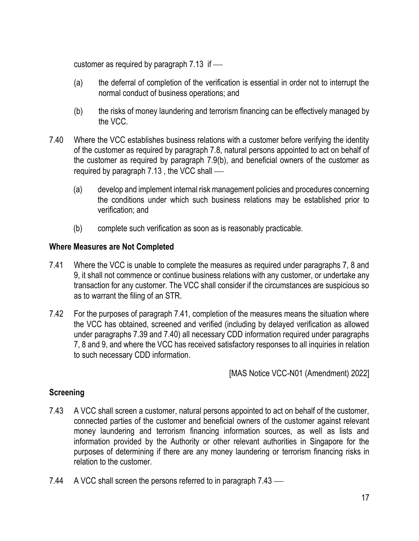customer as required by paragraph  $7.13$  if  $-$ 

- (a) the deferral of completion of the verification is essential in order not to interrupt the normal conduct of business operations; and
- (b) the risks of money laundering and terrorism financing can be effectively managed by the VCC.
- 7.40 Where the VCC establishes business relations with a customer before verifying the identity of the customer as required by paragraph 7.8, natural persons appointed to act on behalf of the customer as required by paragraph 7.9(b), and beneficial owners of the customer as required by paragraph  $7.13$ , the VCC shall  $-$ 
	- (a) develop and implement internal risk management policies and procedures concerning the conditions under which such business relations may be established prior to verification; and
	- (b) complete such verification as soon as is reasonably practicable.

### **Where Measures are Not Completed**

- 7.41 Where the VCC is unable to complete the measures as required under paragraphs 7, 8 and 9, it shall not commence or continue business relations with any customer, or undertake any transaction for any customer. The VCC shall consider if the circumstances are suspicious so as to warrant the filing of an STR.
- 7.42 For the purposes of paragraph 7.41, completion of the measures means the situation where the VCC has obtained, screened and verified (including by delayed verification as allowed under paragraphs 7.39 and 7.40) all necessary CDD information required under paragraphs 7, 8 and 9, and where the VCC has received satisfactory responses to all inquiries in relation to such necessary CDD information.

[MAS Notice VCC-N01 (Amendment) 2022]

### **Screening**

- 7.43 A VCC shall screen a customer, natural persons appointed to act on behalf of the customer, connected parties of the customer and beneficial owners of the customer against relevant money laundering and terrorism financing information sources, as well as lists and information provided by the Authority or other relevant authorities in Singapore for the purposes of determining if there are any money laundering or terrorism financing risks in relation to the customer.
- 7.44 A VCC shall screen the persons referred to in paragraph  $7.43$  —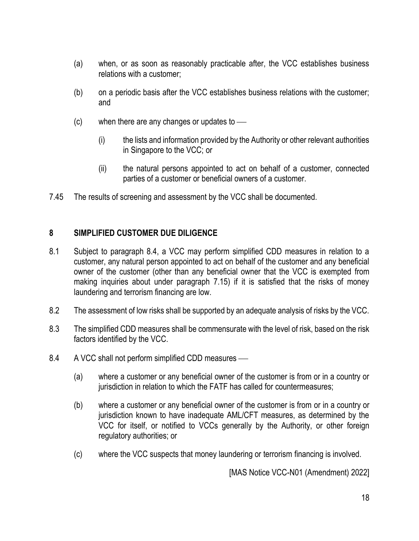- (a) when, or as soon as reasonably practicable after, the VCC establishes business relations with a customer;
- (b) on a periodic basis after the VCC establishes business relations with the customer; and
- $(c)$  when there are any changes or updates to  $\frac{d}{dt}$ 
	- (i) the lists and information provided by the Authority or other relevant authorities in Singapore to the VCC; or
	- (ii) the natural persons appointed to act on behalf of a customer, connected parties of a customer or beneficial owners of a customer.
- 7.45 The results of screening and assessment by the VCC shall be documented.

#### **8 SIMPLIFIED CUSTOMER DUE DILIGENCE**

- 8.1 Subject to paragraph 8.4, a VCC may perform simplified CDD measures in relation to a customer, any natural person appointed to act on behalf of the customer and any beneficial owner of the customer (other than any beneficial owner that the VCC is exempted from making inquiries about under paragraph 7.15) if it is satisfied that the risks of money laundering and terrorism financing are low.
- 8.2 The assessment of low risks shall be supported by an adequate analysis of risks by the VCC.
- 8.3 The simplified CDD measures shall be commensurate with the level of risk, based on the risk factors identified by the VCC.
- 8.4 A VCC shall not perform simplified CDD measures
	- (a) where a customer or any beneficial owner of the customer is from or in a country or jurisdiction in relation to which the FATF has called for countermeasures;
	- (b) where a customer or any beneficial owner of the customer is from or in a country or jurisdiction known to have inadequate AML/CFT measures, as determined by the VCC for itself, or notified to VCCs generally by the Authority, or other foreign regulatory authorities; or
	- (c) where the VCC suspects that money laundering or terrorism financing is involved.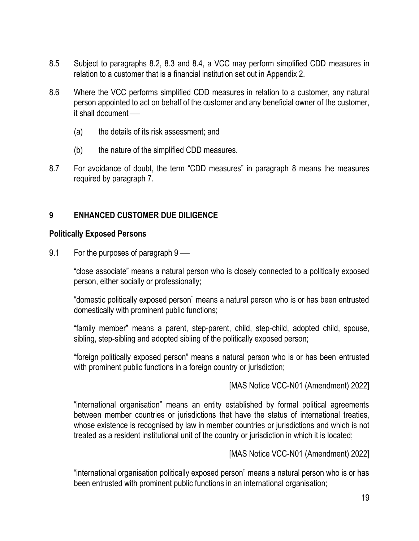- 8.5 Subject to paragraphs 8.2, 8.3 and 8.4, a VCC may perform simplified CDD measures in relation to a customer that is a financial institution set out in Appendix 2.
- 8.6 Where the VCC performs simplified CDD measures in relation to a customer, any natural person appointed to act on behalf of the customer and any beneficial owner of the customer,  $it$  shall document  $-$ 
	- (a) the details of its risk assessment; and
	- (b) the nature of the simplified CDD measures.
- 8.7 For avoidance of doubt, the term "CDD measures" in paragraph 8 means the measures required by paragraph 7.

#### **9 ENHANCED CUSTOMER DUE DILIGENCE**

#### **Politically Exposed Persons**

9.1 For the purposes of paragraph  $9 -$ 

"close associate" means a natural person who is closely connected to a politically exposed person, either socially or professionally;

"domestic politically exposed person" means a natural person who is or has been entrusted domestically with prominent public functions;

"family member" means a parent, step-parent, child, step-child, adopted child, spouse, sibling, step-sibling and adopted sibling of the politically exposed person;

"foreign politically exposed person" means a natural person who is or has been entrusted with prominent public functions in a foreign country or jurisdiction;

[MAS Notice VCC-N01 (Amendment) 2022]

"international organisation" means an entity established by formal political agreements between member countries or jurisdictions that have the status of international treaties, whose existence is recognised by law in member countries or jurisdictions and which is not treated as a resident institutional unit of the country or jurisdiction in which it is located;

[MAS Notice VCC-N01 (Amendment) 2022]

"international organisation politically exposed person" means a natural person who is or has been entrusted with prominent public functions in an international organisation;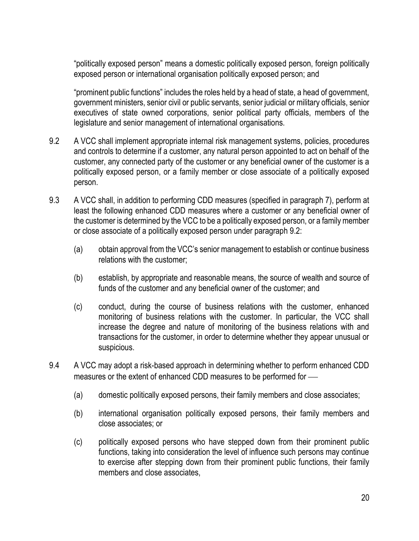"politically exposed person" means a domestic politically exposed person, foreign politically exposed person or international organisation politically exposed person; and

"prominent public functions" includes the roles held by a head of state, a head of government, government ministers, senior civil or public servants, senior judicial or military officials, senior executives of state owned corporations, senior political party officials, members of the legislature and senior management of international organisations.

- 9.2 A VCC shall implement appropriate internal risk management systems, policies, procedures and controls to determine if a customer, any natural person appointed to act on behalf of the customer, any connected party of the customer or any beneficial owner of the customer is a politically exposed person, or a family member or close associate of a politically exposed person.
- 9.3 A VCC shall, in addition to performing CDD measures (specified in paragraph 7), perform at least the following enhanced CDD measures where a customer or any beneficial owner of the customer is determined by the VCC to be a politically exposed person, or a family member or close associate of a politically exposed person under paragraph 9.2:
	- (a) obtain approval from the VCC's senior management to establish or continue business relations with the customer;
	- (b) establish, by appropriate and reasonable means, the source of wealth and source of funds of the customer and any beneficial owner of the customer; and
	- (c) conduct, during the course of business relations with the customer, enhanced monitoring of business relations with the customer. In particular, the VCC shall increase the degree and nature of monitoring of the business relations with and transactions for the customer, in order to determine whether they appear unusual or suspicious.
- 9.4 A VCC may adopt a risk-based approach in determining whether to perform enhanced CDD measures or the extent of enhanced CDD measures to be performed for —
	- (a) domestic politically exposed persons, their family members and close associates;
	- (b) international organisation politically exposed persons, their family members and close associates; or
	- (c) politically exposed persons who have stepped down from their prominent public functions, taking into consideration the level of influence such persons may continue to exercise after stepping down from their prominent public functions, their family members and close associates,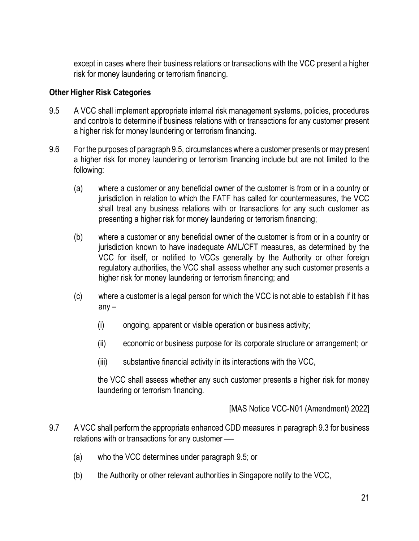except in cases where their business relations or transactions with the VCC present a higher risk for money laundering or terrorism financing.

#### **Other Higher Risk Categories**

- 9.5 A VCC shall implement appropriate internal risk management systems, policies, procedures and controls to determine if business relations with or transactions for any customer present a higher risk for money laundering or terrorism financing.
- 9.6 For the purposes of paragraph 9.5, circumstances where a customer presents or may present a higher risk for money laundering or terrorism financing include but are not limited to the following:
	- (a) where a customer or any beneficial owner of the customer is from or in a country or jurisdiction in relation to which the FATF has called for countermeasures, the VCC shall treat any business relations with or transactions for any such customer as presenting a higher risk for money laundering or terrorism financing;
	- (b) where a customer or any beneficial owner of the customer is from or in a country or jurisdiction known to have inadequate AML/CFT measures, as determined by the VCC for itself, or notified to VCCs generally by the Authority or other foreign regulatory authorities, the VCC shall assess whether any such customer presents a higher risk for money laundering or terrorism financing; and
	- (c) where a customer is a legal person for which the VCC is not able to establish if it has any –
		- (i) ongoing, apparent or visible operation or business activity;
		- (ii) economic or business purpose for its corporate structure or arrangement; or
		- (iii) substantive financial activity in its interactions with the VCC,

the VCC shall assess whether any such customer presents a higher risk for money laundering or terrorism financing.

- 9.7 A VCC shall perform the appropriate enhanced CDD measures in paragraph 9.3 for business relations with or transactions for any customer —
	- (a) who the VCC determines under paragraph 9.5; or
	- (b) the Authority or other relevant authorities in Singapore notify to the VCC,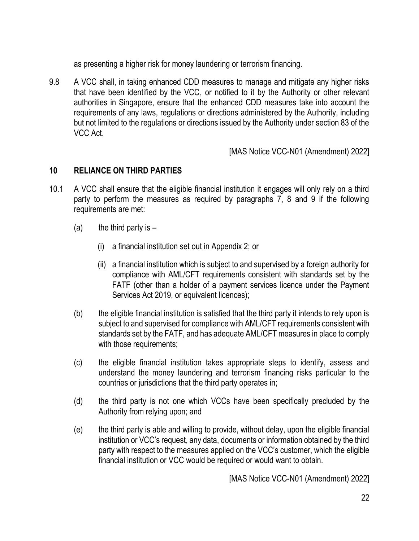as presenting a higher risk for money laundering or terrorism financing.

9.8 A VCC shall, in taking enhanced CDD measures to manage and mitigate any higher risks that have been identified by the VCC, or notified to it by the Authority or other relevant authorities in Singapore, ensure that the enhanced CDD measures take into account the requirements of any laws, regulations or directions administered by the Authority, including but not limited to the regulations or directions issued by the Authority under section 83 of the VCC Act.

[MAS Notice VCC-N01 (Amendment) 2022]

## **10 RELIANCE ON THIRD PARTIES**

- 10.1 A VCC shall ensure that the eligible financial institution it engages will only rely on a third party to perform the measures as required by paragraphs 7, 8 and 9 if the following requirements are met:
	- (a) the third party is  $-$ 
		- (i) a financial institution set out in Appendix 2; or
		- (ii) a financial institution which is subject to and supervised by a foreign authority for compliance with AML/CFT requirements consistent with standards set by the FATF (other than a holder of a payment services licence under the Payment Services Act 2019, or equivalent licences);
	- (b) the eligible financial institution is satisfied that the third party it intends to rely upon is subject to and supervised for compliance with AML/CFT requirements consistent with standards set by the FATF, and has adequate AML/CFT measures in place to comply with those requirements;
	- (c) the eligible financial institution takes appropriate steps to identify, assess and understand the money laundering and terrorism financing risks particular to the countries or jurisdictions that the third party operates in;
	- (d) the third party is not one which VCCs have been specifically precluded by the Authority from relying upon; and
	- (e) the third party is able and willing to provide, without delay, upon the eligible financial institution or VCC's request, any data, documents or information obtained by the third party with respect to the measures applied on the VCC's customer, which the eligible financial institution or VCC would be required or would want to obtain.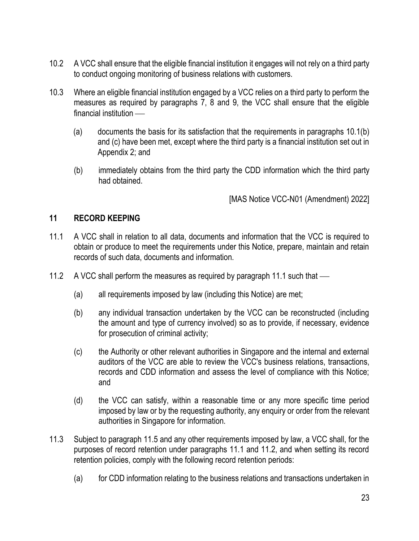- 10.2 A VCC shall ensure that the eligible financial institution it engages will not rely on a third party to conduct ongoing monitoring of business relations with customers.
- 10.3 Where an eligible financial institution engaged by a VCC relies on a third party to perform the measures as required by paragraphs 7, 8 and 9, the VCC shall ensure that the eligible  $f$ inancial institution  $\_\$ 
	- (a) documents the basis for its satisfaction that the requirements in paragraphs 10.1(b) and (c) have been met, except where the third party is a financial institution set out in Appendix 2; and
	- (b) immediately obtains from the third party the CDD information which the third party had obtained.

[MAS Notice VCC-N01 (Amendment) 2022]

#### **11 RECORD KEEPING**

- 11.1 A VCC shall in relation to all data, documents and information that the VCC is required to obtain or produce to meet the requirements under this Notice, prepare, maintain and retain records of such data, documents and information.
- 11.2 A VCC shall perform the measures as required by paragraph 11.1 such that
	- (a) all requirements imposed by law (including this Notice) are met;
	- (b) any individual transaction undertaken by the VCC can be reconstructed (including the amount and type of currency involved) so as to provide, if necessary, evidence for prosecution of criminal activity;
	- (c) the Authority or other relevant authorities in Singapore and the internal and external auditors of the VCC are able to review the VCC's business relations, transactions, records and CDD information and assess the level of compliance with this Notice; and
	- (d) the VCC can satisfy, within a reasonable time or any more specific time period imposed by law or by the requesting authority, any enquiry or order from the relevant authorities in Singapore for information.
- 11.3 Subject to paragraph 11.5 and any other requirements imposed by law, a VCC shall, for the purposes of record retention under paragraphs 11.1 and 11.2, and when setting its record retention policies, comply with the following record retention periods:
	- (a) for CDD information relating to the business relations and transactions undertaken in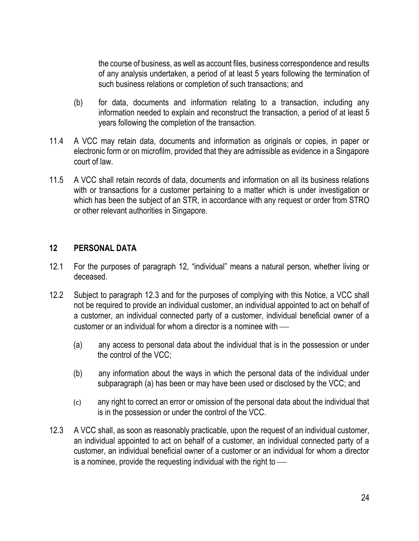the course of business, as well as account files, business correspondence and results of any analysis undertaken, a period of at least 5 years following the termination of such business relations or completion of such transactions; and

- (b) for data, documents and information relating to a transaction, including any information needed to explain and reconstruct the transaction, a period of at least 5 years following the completion of the transaction.
- 11.4 A VCC may retain data, documents and information as originals or copies, in paper or electronic form or on microfilm, provided that they are admissible as evidence in a Singapore court of law.
- 11.5 A VCC shall retain records of data, documents and information on all its business relations with or transactions for a customer pertaining to a matter which is under investigation or which has been the subject of an STR, in accordance with any request or order from STRO or other relevant authorities in Singapore.

#### **12 PERSONAL DATA**

- 12.1 For the purposes of paragraph 12, "individual" means a natural person, whether living or deceased.
- 12.2 Subject to paragraph 12.3 and for the purposes of complying with this Notice, a VCC shall not be required to provide an individual customer, an individual appointed to act on behalf of a customer, an individual connected party of a customer, individual beneficial owner of a customer or an individual for whom a director is a nominee with  $-$ 
	- (a) any access to personal data about the individual that is in the possession or under the control of the VCC;
	- (b) any information about the ways in which the personal data of the individual under subparagraph (a) has been or may have been used or disclosed by the VCC; and
	- (c) any right to correct an error or omission of the personal data about the individual that is in the possession or under the control of the VCC.
- 12.3 A VCC shall, as soon as reasonably practicable, upon the request of an individual customer, an individual appointed to act on behalf of a customer, an individual connected party of a customer, an individual beneficial owner of a customer or an individual for whom a director is a nominee, provide the requesting individual with the right to  $-$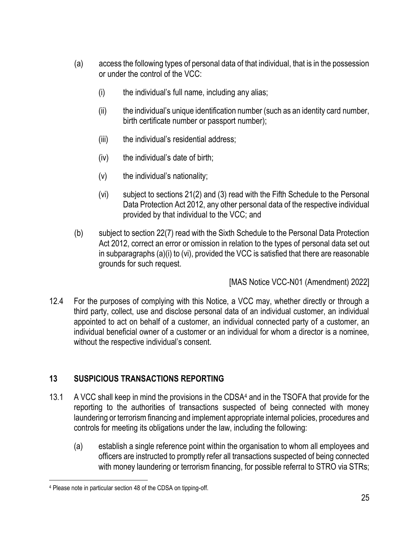- (a) access the following types of personal data of that individual, that is in the possession or under the control of the VCC:
	- (i) the individual's full name, including any alias;
	- (ii) the individual's unique identification number (such as an identity card number, birth certificate number or passport number);
	- (iii) the individual's residential address;
	- (iv) the individual's date of birth;
	- (v) the individual's nationality;
	- (vi) subject to sections 21(2) and (3) read with the Fifth Schedule to the Personal Data Protection Act 2012, any other personal data of the respective individual provided by that individual to the VCC; and
- (b) subject to section 22(7) read with the Sixth Schedule to the Personal Data Protection Act 2012, correct an error or omission in relation to the types of personal data set out in subparagraphs (a)(i) to (vi), provided the VCC is satisfied that there are reasonable grounds for such request.

[MAS Notice VCC-N01 (Amendment) 2022]

12.4 For the purposes of complying with this Notice, a VCC may, whether directly or through a third party, collect, use and disclose personal data of an individual customer, an individual appointed to act on behalf of a customer, an individual connected party of a customer, an individual beneficial owner of a customer or an individual for whom a director is a nominee, without the respective individual's consent.

# **13 SUSPICIOUS TRANSACTIONS REPORTING**

- 13.1 A VCC shall keep in mind the provisions in the CDSA4 and in the TSOFA that provide for the reporting to the authorities of transactions suspected of being connected with money laundering or terrorism financing and implement appropriate internal policies, procedures and controls for meeting its obligations under the law, including the following:
	- (a) establish a single reference point within the organisation to whom all employees and officers are instructed to promptly refer all transactions suspected of being connected with money laundering or terrorism financing, for possible referral to STRO via STRs;

<sup>4</sup> Please note in particular section 48 of the CDSA on tipping-off.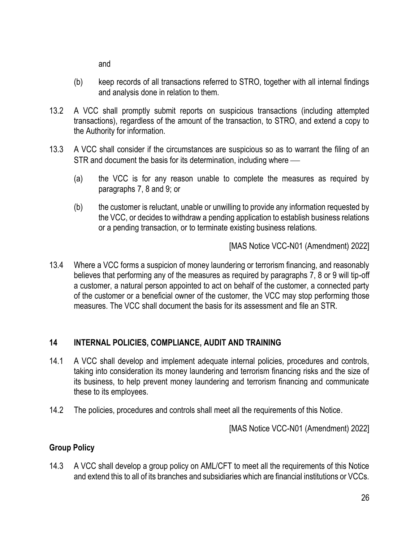and

- (b) keep records of all transactions referred to STRO, together with all internal findings and analysis done in relation to them.
- 13.2 A VCC shall promptly submit reports on suspicious transactions (including attempted transactions), regardless of the amount of the transaction, to STRO, and extend a copy to the Authority for information.
- 13.3 A VCC shall consider if the circumstances are suspicious so as to warrant the filing of an STR and document the basis for its determination, including where —
	- (a) the VCC is for any reason unable to complete the measures as required by paragraphs 7, 8 and 9; or
	- (b) the customer is reluctant, unable or unwilling to provide any information requested by the VCC, or decides to withdraw a pending application to establish business relations or a pending transaction, or to terminate existing business relations.

[MAS Notice VCC-N01 (Amendment) 2022]

13.4 Where a VCC forms a suspicion of money laundering or terrorism financing, and reasonably believes that performing any of the measures as required by paragraphs 7, 8 or 9 will tip-off a customer, a natural person appointed to act on behalf of the customer, a connected party of the customer or a beneficial owner of the customer, the VCC may stop performing those measures. The VCC shall document the basis for its assessment and file an STR.

## **14 INTERNAL POLICIES, COMPLIANCE, AUDIT AND TRAINING**

- 14.1 A VCC shall develop and implement adequate internal policies, procedures and controls, taking into consideration its money laundering and terrorism financing risks and the size of its business, to help prevent money laundering and terrorism financing and communicate these to its employees.
- 14.2 The policies, procedures and controls shall meet all the requirements of this Notice.

[MAS Notice VCC-N01 (Amendment) 2022]

## **Group Policy**

14.3 A VCC shall develop a group policy on AML/CFT to meet all the requirements of this Notice and extend this to all of its branches and subsidiaries which are financial institutions or VCCs.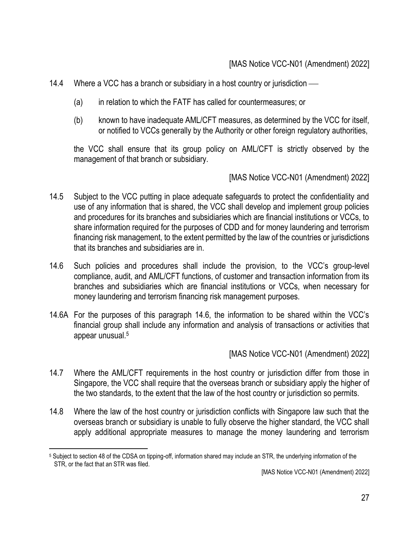- 14.4 Where a VCC has a branch or subsidiary in a host country or jurisdiction  $\frac{1}{10}$ 
	- (a) in relation to which the FATF has called for countermeasures; or
	- (b) known to have inadequate AML/CFT measures, as determined by the VCC for itself, or notified to VCCs generally by the Authority or other foreign regulatory authorities,

the VCC shall ensure that its group policy on AML/CFT is strictly observed by the management of that branch or subsidiary.

[MAS Notice VCC-N01 (Amendment) 2022]

- 14.5 Subject to the VCC putting in place adequate safeguards to protect the confidentiality and use of any information that is shared, the VCC shall develop and implement group policies and procedures for its branches and subsidiaries which are financial institutions or VCCs, to share information required for the purposes of CDD and for money laundering and terrorism financing risk management, to the extent permitted by the law of the countries or jurisdictions that its branches and subsidiaries are in.
- 14.6 Such policies and procedures shall include the provision, to the VCC's group-level compliance, audit, and AML/CFT functions, of customer and transaction information from its branches and subsidiaries which are financial institutions or VCCs, when necessary for money laundering and terrorism financing risk management purposes.
- 14.6A For the purposes of this paragraph 14.6, the information to be shared within the VCC's financial group shall include any information and analysis of transactions or activities that appear unusual.<sup>5</sup>

- 14.7 Where the AML/CFT requirements in the host country or jurisdiction differ from those in Singapore, the VCC shall require that the overseas branch or subsidiary apply the higher of the two standards, to the extent that the law of the host country or jurisdiction so permits.
- 14.8 Where the law of the host country or jurisdiction conflicts with Singapore law such that the overseas branch or subsidiary is unable to fully observe the higher standard, the VCC shall apply additional appropriate measures to manage the money laundering and terrorism

<sup>5</sup> Subject to section 48 of the CDSA on tipping-off, information shared may include an STR, the underlying information of the STR, or the fact that an STR was filed.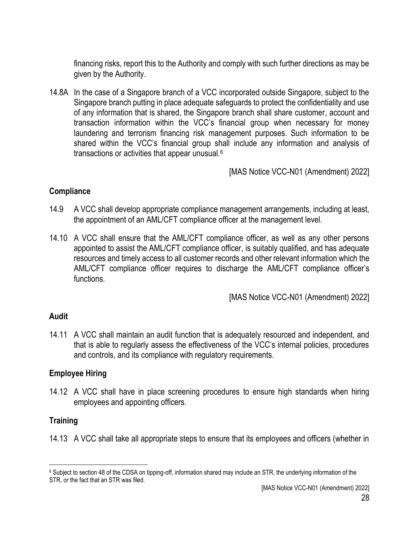financing risks, report this to the Authority and comply with such further directions as may be given by the Authority.

14.8A In the case of a Singapore branch of a VCC incorporated outside Singapore, subject to the Singapore branch putting in place adequate safeguards to protect the confidentiality and use of any information that is shared, the Singapore branch shall share customer, account and transaction information within the VCC's financial group when necessary for money laundering and terrorism financing risk management purposes. Such information to be shared within the VCC's financial group shall include any information and analysis of transactions or activities that appear unusual.<sup>6</sup>

[MAS Notice VCC-N01 (Amendment) 2022]

#### **Compliance**

- 14.9 A VCC shall develop appropriate compliance management arrangements, including at least, the appointment of an AML/CFT compliance officer at the management level.
- 14.10 A VCC shall ensure that the AML/CFT compliance officer, as well as any other persons appointed to assist the AML/CFT compliance officer, is suitably qualified, and has adequate resources and timely access to all customer records and other relevant information which the AML/CFT compliance officer requires to discharge the AML/CFT compliance officer's functions.

[MAS Notice VCC-N01 (Amendment) 2022]

### **Audit**

14.11 A VCC shall maintain an audit function that is adequately resourced and independent, and that is able to regularly assess the effectiveness of the VCC's internal policies, procedures and controls, and its compliance with regulatory requirements.

### **Employee Hiring**

14.12 A VCC shall have in place screening procedures to ensure high standards when hiring employees and appointing officers.

### **Training**

14.13 A VCC shall take all appropriate steps to ensure that its employees and officers (whether in

<sup>6</sup> Subject to section 48 of the CDSA on tipping-off, information shared may include an STR, the underlying information of the STR, or the fact that an STR was filed.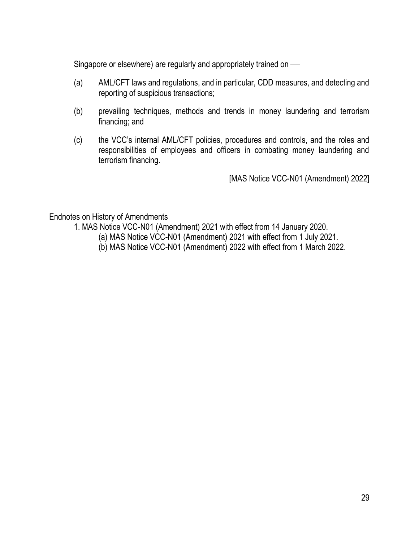Singapore or elsewhere) are regularly and appropriately trained on —

- (a) AML/CFT laws and regulations, and in particular, CDD measures, and detecting and reporting of suspicious transactions;
- (b) prevailing techniques, methods and trends in money laundering and terrorism financing; and
- (c) the VCC's internal AML/CFT policies, procedures and controls, and the roles and responsibilities of employees and officers in combating money laundering and terrorism financing.

[MAS Notice VCC-N01 (Amendment) 2022]

Endnotes on History of Amendments

- 1. MAS Notice VCC-N01 (Amendment) 2021 with effect from 14 January 2020.
	- (a) MAS Notice VCC-N01 (Amendment) 2021 with effect from 1 July 2021.
	- (b) MAS Notice VCC-N01 (Amendment) 2022 with effect from 1 March 2022.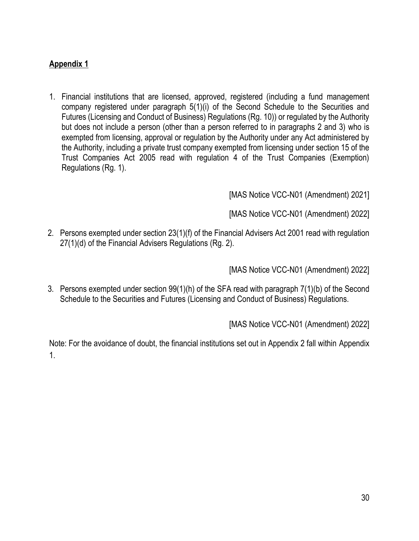## **Appendix 1**

1. Financial institutions that are licensed, approved, registered (including a fund management company registered under paragraph 5(1)(i) of the Second Schedule to the Securities and Futures (Licensing and Conduct of Business) Regulations (Rg. 10)) or regulated by the Authority but does not include a person (other than a person referred to in paragraphs 2 and 3) who is exempted from licensing, approval or regulation by the Authority under any Act administered by the Authority, including a private trust company exempted from licensing under section 15 of the Trust Companies Act 2005 read with regulation 4 of the Trust Companies (Exemption) Regulations (Rg. 1).

[MAS Notice VCC-N01 (Amendment) 2021]

[MAS Notice VCC-N01 (Amendment) 2022]

2. Persons exempted under section 23(1)(f) of the Financial Advisers Act 2001 read with regulation 27(1)(d) of the Financial Advisers Regulations (Rg. 2).

[MAS Notice VCC-N01 (Amendment) 2022]

3. Persons exempted under section 99(1)(h) of the SFA read with paragraph 7(1)(b) of the Second Schedule to the Securities and Futures (Licensing and Conduct of Business) Regulations.

[MAS Notice VCC-N01 (Amendment) 2022]

Note: For the avoidance of doubt, the financial institutions set out in Appendix 2 fall within Appendix 1.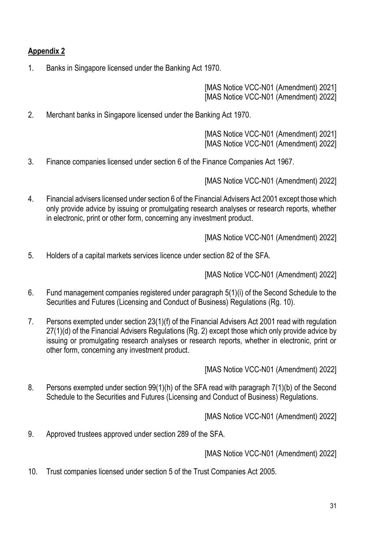## **Appendix 2**

1. Banks in Singapore licensed under the Banking Act 1970.

[MAS Notice VCC-N01 (Amendment) 2021] [MAS Notice VCC-N01 (Amendment) 2022]

2. Merchant banks in Singapore licensed under the Banking Act 1970.

[MAS Notice VCC-N01 (Amendment) 2021] [MAS Notice VCC-N01 (Amendment) 2022]

3. Finance companies licensed under section 6 of the Finance Companies Act 1967.

[MAS Notice VCC-N01 (Amendment) 2022]

4. Financial advisers licensed under section 6 of the Financial Advisers Act 2001 except those which only provide advice by issuing or promulgating research analyses or research reports, whether in electronic, print or other form, concerning any investment product.

[MAS Notice VCC-N01 (Amendment) 2022]

5. Holders of a capital markets services licence under section 82 of the SFA.

[MAS Notice VCC-N01 (Amendment) 2022]

- 6. Fund management companies registered under paragraph 5(1)(i) of the Second Schedule to the Securities and Futures (Licensing and Conduct of Business) Regulations (Rg. 10).
- 7. Persons exempted under section 23(1)(f) of the Financial Advisers Act 2001 read with regulation 27(1)(d) of the Financial Advisers Regulations (Rg. 2) except those which only provide advice by issuing or promulgating research analyses or research reports, whether in electronic, print or other form, concerning any investment product.

[MAS Notice VCC-N01 (Amendment) 2022]

8. Persons exempted under section 99(1)(h) of the SFA read with paragraph 7(1)(b) of the Second Schedule to the Securities and Futures (Licensing and Conduct of Business) Regulations.

[MAS Notice VCC-N01 (Amendment) 2022]

9. Approved trustees approved under section 289 of the SFA.

[MAS Notice VCC-N01 (Amendment) 2022]

10. Trust companies licensed under section 5 of the Trust Companies Act 2005.